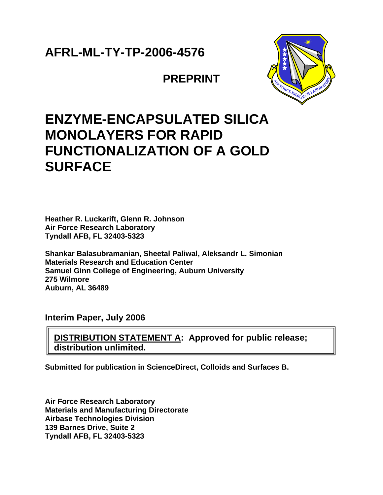## **AFRL-ML-TY-TP-2006-4576**

**PREPRINT**



## **ENZYME-ENCAPSULATED SILICA MONOLAYERS FOR RAPID FUNCTIONALIZATION OF A GOLD SURFACE**

**Heather R. Luckarift, Glenn R. Johnson Air Force Research Laboratory Tyndall AFB, FL 32403-5323** 

**Shankar Balasubramanian, Sheetal Paliwal, Aleksandr L. Simonian Materials Research and Education Center Samuel Ginn College of Engineering, Auburn University 275 Wilmore Auburn, AL 36489** 

**Interim Paper, July 2006** 

**DISTRIBUTION STATEMENT A: Approved for public release; distribution unlimited.** 

**Submitted for publication in ScienceDirect, Colloids and Surfaces B.** 

**Air Force Research Laboratory Materials and Manufacturing Directorate Airbase Technologies Division 139 Barnes Drive, Suite 2 Tyndall AFB, FL 32403-5323**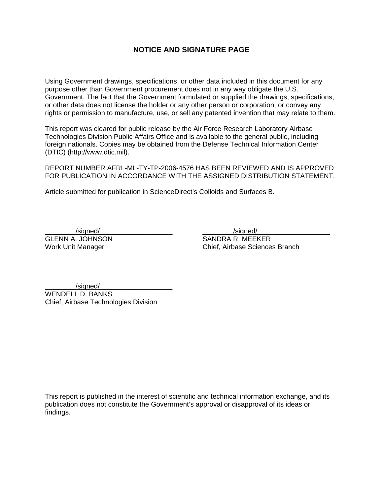### **NOTICE AND SIGNATURE PAGE**

Using Government drawings, specifications, or other data included in this document for any purpose other than Government procurement does not in any way obligate the U.S. Government. The fact that the Government formulated or supplied the drawings, specifications, or other data does not license the holder or any other person or corporation; or convey any rights or permission to manufacture, use, or sell any patented invention that may relate to them.

This report was cleared for public release by the Air Force Research Laboratory Airbase Technologies Division Public Affairs Office and is available to the general public, including foreign nationals. Copies may be obtained from the Defense Technical Information Center (DTIC) (http://www.dtic.mil).

REPORT NUMBER AFRL-ML-TY-TP-2006-4576 HAS BEEN REVIEWED AND IS APPROVED FOR PUBLICATION IN ACCORDANCE WITH THE ASSIGNED DISTRIBUTION STATEMENT.

Article submitted for publication in ScienceDirect's Colloids and Surfaces B.

\_\_\_\_\_\_\_\_/signed/\_\_\_\_\_\_\_\_\_\_\_\_\_\_\_\_\_\_\_ \_\_\_\_\_\_\_\_/signed/\_\_\_\_\_\_\_\_\_\_\_\_\_\_\_\_\_\_\_ GLENN A. JOHNSON SANDRA R. MEEKER Work Unit Manager **Chief** Chief, Airbase Sciences Branch

/signed/ WENDELL D. BANKS Chief, Airbase Technologies Division

This report is published in the interest of scientific and technical information exchange, and its publication does not constitute the Government's approval or disapproval of its ideas or findings.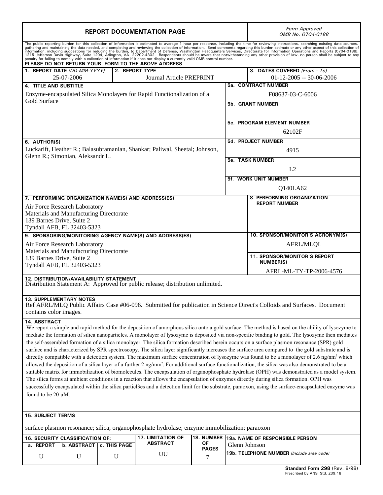| <b>REPORT DOCUMENTATION PAGE</b>                                                                                                                                                                                                                                                                                                                                                                                                                                                                                                                                                                                                                                                                                                                                                                                                                                                                                                                                                                                                                                                                                                                                                                                                                                                                                                                                                                                                   | Form Approved<br>OMB No. 0704-0188                                          |    |                         |                                                                   |  |  |
|------------------------------------------------------------------------------------------------------------------------------------------------------------------------------------------------------------------------------------------------------------------------------------------------------------------------------------------------------------------------------------------------------------------------------------------------------------------------------------------------------------------------------------------------------------------------------------------------------------------------------------------------------------------------------------------------------------------------------------------------------------------------------------------------------------------------------------------------------------------------------------------------------------------------------------------------------------------------------------------------------------------------------------------------------------------------------------------------------------------------------------------------------------------------------------------------------------------------------------------------------------------------------------------------------------------------------------------------------------------------------------------------------------------------------------|-----------------------------------------------------------------------------|----|-------------------------|-------------------------------------------------------------------|--|--|
| The public reporting burden for this collection of information is estimated to average 1 hour per response, including the time for reviewing instructions, searching existing data sources, gathering and maintaining the data<br>PLEASE DO NOT RETURN YOUR FORM TO THE ABOVE ADDRESS.                                                                                                                                                                                                                                                                                                                                                                                                                                                                                                                                                                                                                                                                                                                                                                                                                                                                                                                                                                                                                                                                                                                                             |                                                                             |    |                         |                                                                   |  |  |
| 1. REPORT DATE (DD-MM-YYYY)<br>25-07-2006                                                                                                                                                                                                                                                                                                                                                                                                                                                                                                                                                                                                                                                                                                                                                                                                                                                                                                                                                                                                                                                                                                                                                                                                                                                                                                                                                                                          | 2. REPORT TYPE<br><b>Journal Article PREPRINT</b>                           |    |                         | 3. DATES COVERED (From - To)<br>$01 - 12 - 2005 - 30 - 06 - 2006$ |  |  |
| <b>4. TITLE AND SUBTITLE</b>                                                                                                                                                                                                                                                                                                                                                                                                                                                                                                                                                                                                                                                                                                                                                                                                                                                                                                                                                                                                                                                                                                                                                                                                                                                                                                                                                                                                       |                                                                             |    |                         | <b>5a. CONTRACT NUMBER</b>                                        |  |  |
|                                                                                                                                                                                                                                                                                                                                                                                                                                                                                                                                                                                                                                                                                                                                                                                                                                                                                                                                                                                                                                                                                                                                                                                                                                                                                                                                                                                                                                    | Enzyme-encapsulated Silica Monolayers for Rapid Functionalization of a      |    | F08637-03-C-6006        |                                                                   |  |  |
| <b>Gold Surface</b>                                                                                                                                                                                                                                                                                                                                                                                                                                                                                                                                                                                                                                                                                                                                                                                                                                                                                                                                                                                                                                                                                                                                                                                                                                                                                                                                                                                                                |                                                                             |    | <b>5b. GRANT NUMBER</b> |                                                                   |  |  |
|                                                                                                                                                                                                                                                                                                                                                                                                                                                                                                                                                                                                                                                                                                                                                                                                                                                                                                                                                                                                                                                                                                                                                                                                                                                                                                                                                                                                                                    |                                                                             |    |                         |                                                                   |  |  |
|                                                                                                                                                                                                                                                                                                                                                                                                                                                                                                                                                                                                                                                                                                                                                                                                                                                                                                                                                                                                                                                                                                                                                                                                                                                                                                                                                                                                                                    |                                                                             |    |                         | <b>5c. PROGRAM ELEMENT NUMBER</b>                                 |  |  |
|                                                                                                                                                                                                                                                                                                                                                                                                                                                                                                                                                                                                                                                                                                                                                                                                                                                                                                                                                                                                                                                                                                                                                                                                                                                                                                                                                                                                                                    |                                                                             |    |                         | 62102F                                                            |  |  |
| 6. AUTHOR(S)                                                                                                                                                                                                                                                                                                                                                                                                                                                                                                                                                                                                                                                                                                                                                                                                                                                                                                                                                                                                                                                                                                                                                                                                                                                                                                                                                                                                                       |                                                                             |    |                         | 5d. PROJECT NUMBER                                                |  |  |
|                                                                                                                                                                                                                                                                                                                                                                                                                                                                                                                                                                                                                                                                                                                                                                                                                                                                                                                                                                                                                                                                                                                                                                                                                                                                                                                                                                                                                                    | Luckarift, Heather R.; Balasubramanian, Shankar; Paliwal, Sheetal; Johnson, |    |                         | 4915                                                              |  |  |
| Glenn R.; Simonian, Aleksandr L.                                                                                                                                                                                                                                                                                                                                                                                                                                                                                                                                                                                                                                                                                                                                                                                                                                                                                                                                                                                                                                                                                                                                                                                                                                                                                                                                                                                                   |                                                                             |    |                         | <b>5e. TASK NUMBER</b>                                            |  |  |
|                                                                                                                                                                                                                                                                                                                                                                                                                                                                                                                                                                                                                                                                                                                                                                                                                                                                                                                                                                                                                                                                                                                                                                                                                                                                                                                                                                                                                                    |                                                                             |    |                         | L2                                                                |  |  |
|                                                                                                                                                                                                                                                                                                                                                                                                                                                                                                                                                                                                                                                                                                                                                                                                                                                                                                                                                                                                                                                                                                                                                                                                                                                                                                                                                                                                                                    |                                                                             |    |                         | <b>5f. WORK UNIT NUMBER</b>                                       |  |  |
|                                                                                                                                                                                                                                                                                                                                                                                                                                                                                                                                                                                                                                                                                                                                                                                                                                                                                                                                                                                                                                                                                                                                                                                                                                                                                                                                                                                                                                    |                                                                             |    |                         |                                                                   |  |  |
|                                                                                                                                                                                                                                                                                                                                                                                                                                                                                                                                                                                                                                                                                                                                                                                                                                                                                                                                                                                                                                                                                                                                                                                                                                                                                                                                                                                                                                    |                                                                             |    |                         | Q140LA62                                                          |  |  |
| 7. PERFORMING ORGANIZATION NAME(S) AND ADDRESS(ES)                                                                                                                                                                                                                                                                                                                                                                                                                                                                                                                                                                                                                                                                                                                                                                                                                                                                                                                                                                                                                                                                                                                                                                                                                                                                                                                                                                                 |                                                                             |    |                         | 8. PERFORMING ORGANIZATION<br><b>REPORT NUMBER</b>                |  |  |
| Air Force Research Laboratory<br>Materials and Manufacturing Directorate                                                                                                                                                                                                                                                                                                                                                                                                                                                                                                                                                                                                                                                                                                                                                                                                                                                                                                                                                                                                                                                                                                                                                                                                                                                                                                                                                           |                                                                             |    |                         |                                                                   |  |  |
| 139 Barnes Drive, Suite 2                                                                                                                                                                                                                                                                                                                                                                                                                                                                                                                                                                                                                                                                                                                                                                                                                                                                                                                                                                                                                                                                                                                                                                                                                                                                                                                                                                                                          |                                                                             |    |                         |                                                                   |  |  |
| Tyndall AFB, FL 32403-5323                                                                                                                                                                                                                                                                                                                                                                                                                                                                                                                                                                                                                                                                                                                                                                                                                                                                                                                                                                                                                                                                                                                                                                                                                                                                                                                                                                                                         |                                                                             |    |                         |                                                                   |  |  |
| 9. SPONSORING/MONITORING AGENCY NAME(S) AND ADDRESS(ES)                                                                                                                                                                                                                                                                                                                                                                                                                                                                                                                                                                                                                                                                                                                                                                                                                                                                                                                                                                                                                                                                                                                                                                                                                                                                                                                                                                            |                                                                             |    |                         | 10. SPONSOR/MONITOR'S ACRONYM(S)                                  |  |  |
| Air Force Research Laboratory<br>Materials and Manufacturing Directorate                                                                                                                                                                                                                                                                                                                                                                                                                                                                                                                                                                                                                                                                                                                                                                                                                                                                                                                                                                                                                                                                                                                                                                                                                                                                                                                                                           |                                                                             |    |                         | AFRL/MLQL                                                         |  |  |
| 139 Barnes Drive, Suite 2<br>Tyndall AFB, FL 32403-5323                                                                                                                                                                                                                                                                                                                                                                                                                                                                                                                                                                                                                                                                                                                                                                                                                                                                                                                                                                                                                                                                                                                                                                                                                                                                                                                                                                            |                                                                             |    |                         | <b>11. SPONSOR/MONITOR'S REPORT</b><br><b>NUMBER(S)</b>           |  |  |
|                                                                                                                                                                                                                                                                                                                                                                                                                                                                                                                                                                                                                                                                                                                                                                                                                                                                                                                                                                                                                                                                                                                                                                                                                                                                                                                                                                                                                                    |                                                                             |    |                         | AFRL-ML-TY-TP-2006-4576                                           |  |  |
| 12. DISTRIBUTION/AVAILABILITY STATEMENT<br>Distribution Statement A: Approved for public release; distribution unlimited.                                                                                                                                                                                                                                                                                                                                                                                                                                                                                                                                                                                                                                                                                                                                                                                                                                                                                                                                                                                                                                                                                                                                                                                                                                                                                                          |                                                                             |    |                         |                                                                   |  |  |
| <b>13. SUPPLEMENTARY NOTES</b><br>Ref AFRL/MLQ Public Affairs Case #06-096. Submitted for publication in Science Direct's Colloids and Surfaces. Document<br>contains color images.                                                                                                                                                                                                                                                                                                                                                                                                                                                                                                                                                                                                                                                                                                                                                                                                                                                                                                                                                                                                                                                                                                                                                                                                                                                |                                                                             |    |                         |                                                                   |  |  |
| 14. ABSTRACT<br>We report a simple and rapid method for the deposition of amorphous silica onto a gold surface. The method is based on the ability of lysozyme to<br>mediate the formation of silica nanoparticles. A monolayer of lysozyme is deposited via non-specific binding to gold. The lysozyme then mediates<br>the self-assembled formation of a silica monolayer. The silica formation described herein occurs on a surface plasmon resonance (SPR) gold<br>surface and is characterized by SPR spectroscopy. The silica layer significantly increases the surface area compared to the gold substrate and is<br>directly compatible with a detection system. The maximum surface concentration of lysozyme was found to be a monolayer of 2.6 ng/nm <sup>2</sup> which<br>allowed the deposition of a silica layer of a further 2 ng/mm <sup>2</sup> . For additional surface functionalization, the silica was also demonstrated to be a<br>suitable matrix for immobilization of biomolecules. The encapsulation of organophosphate hydrolase (OPH) was demonstrated as a model system.<br>The silica forms at ambient conditions in a reaction that allows the encapsulation of enzymes directly during silica formation. OPH was<br>successfully encapsulated within the silica particl3es and a detection limit for the substrate, paraoxon, using the surface-encapsulated enzyme was<br>found to be 20 $\mu$ M. |                                                                             |    |                         |                                                                   |  |  |
| <b>15. SUBJECT TERMS</b>                                                                                                                                                                                                                                                                                                                                                                                                                                                                                                                                                                                                                                                                                                                                                                                                                                                                                                                                                                                                                                                                                                                                                                                                                                                                                                                                                                                                           |                                                                             |    |                         |                                                                   |  |  |
| surface plasmon resonance; silica; organophosphate hydrolase; enzyme immobilization; paraoxon                                                                                                                                                                                                                                                                                                                                                                                                                                                                                                                                                                                                                                                                                                                                                                                                                                                                                                                                                                                                                                                                                                                                                                                                                                                                                                                                      |                                                                             |    |                         |                                                                   |  |  |
| <b>17. LIMITATION OF</b><br>18. NUMBER 19a. NAME OF RESPONSIBLE PERSON<br>16. SECURITY CLASSIFICATION OF:                                                                                                                                                                                                                                                                                                                                                                                                                                                                                                                                                                                                                                                                                                                                                                                                                                                                                                                                                                                                                                                                                                                                                                                                                                                                                                                          |                                                                             |    |                         |                                                                   |  |  |
| a. REPORT $\vert$ b. ABSTRACT $\vert$ c. THIS PAGE                                                                                                                                                                                                                                                                                                                                                                                                                                                                                                                                                                                                                                                                                                                                                                                                                                                                                                                                                                                                                                                                                                                                                                                                                                                                                                                                                                                 | <b>ABSTRACT</b>                                                             | ΟF | Glenn Johnson           |                                                                   |  |  |

| a. REPORT | . ט. טבטטוווו טבאסטוווטאווטון טו<br>b. | . ABSTRACT   c. THIS PAGE | .<br><b>ABSTRACT</b><br><b>OF</b><br><b>PAGES</b> |   | TJG. NAME OF REGI ONOIDEE I ERGON<br>Glenn Johnson   |  |
|-----------|----------------------------------------|---------------------------|---------------------------------------------------|---|------------------------------------------------------|--|
|           |                                        |                           | UU                                                | - | <b>TELEPHONE NUMBER</b> (Include area code)<br>'19b. |  |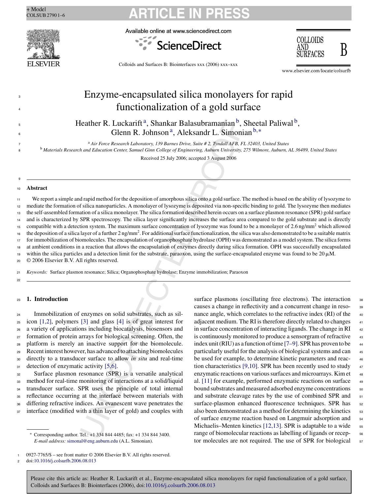

Available online at www.sciencedirect.com





Colloids and Surfaces B: Biointerfaces xxx (2006) xxx–xxx

www.elsevier.com/locate/colsurfb

## Enzyme-encapsulated silica monolayers for rapid functionalization of a gold surface

Heather R. Luckarift<sup>a</sup>, Shankar Balasubramanian<sup>b</sup>, Sheetal Paliwal<sup>b</sup>, Glenn R. Johnson<sup>a</sup>, Aleksandr L. Simonian<sup>b,∗</sup>

<sup>a</sup> <sup>7</sup> *Air Force Research Laboratory, 139 Barnes Drive, Suite # 2, Tyndall AFB, FL 32403, United States*

<sup>8</sup> <sup>b</sup> *Materials Research and Education Center, Samuel Ginn College of Engineering, Auburn University, 275 Wilmore, Auburn, AL 36489, United States*

Received 25 July 2006; accepted 3 August 2006

#### <sup>10</sup> **Abstract**

3

4

5 6

9

Contained Balasubrannian b,<br>
Gelemn R. Johnson a, Aleksandr L. Simoni<br>  $^{4}$  Air Fore Research Laboratory, 139 Barnes Drive, Saize  $t^2$ , The Mail AFR, Here  $^{4}$ , Air Fore Research Laboratory, 139 Barnes Drive, Saize  $t^$ We report a simple and rapid method for the deposition of amorphous silica onto a gold surface. The method is based on the ability of lysozyme to mediate the formation of silica nanoparticles. A monolayer of lysozyme is deposited via non-specific binding to gold. The lysozyme then mediates the self-assembled formation of a silica monolayer. The silica formation described herein occurs on a surface plasmon resonance (SPR) gold surface and is characterized by SPR spectroscopy. The silica layer significantly increases the surface area compared to the gold substrate and is directly compatible with a detection system. The maximum surface concentration of lysozyme was found to be a monolayer of 2.6 ng/mm<sup>2</sup> which allowed the deposition of a silica layer of a further 2 ng/mm2. For additional surface functionalization, the silica was also demonstrated to be a suitable matrix for immobilization of biomolecules. The encapsulation of organophosphate hydrolase (OPH) was demonstrated as a model system. The silica forms at ambient conditions in a reaction that allows the encapsulation of enzymes directly during silica formation. OPH was successfully encapsulated within the silica particles and a detection limit for the substrate, paraoxon, using the surface-encapsulated enzyme was found to be  $20 \mu M$ . 11 12 13 14 15 16 17 18 19

<sup>20</sup> © 2006 Elsevier B.V. All rights reserved.

<sup>21</sup> *Keywords:* Surface plasmon resonance; Silica; Organophosphate hydrolase; Enzyme immobilization; Paraoxon

22

### <sup>23</sup> **1. Introduction**

 Immobilization of enzymes on solid substrates, such as sil- icon [1,2], polymers [3] and glass [4] is of great interest for a variety of applications including biocatalysis, biosensors and formation of protein arrays for biological screening. Often, the platform is merely an inactive support for the biomolecule. Recent interest however, has advanced to attaching biomolecules directly to a transducer surface to allow *in situ* and real-time 31 detection of enzymatic activity [5,6].

 Surface plasmon resonance (SPR) is a versatile analytical method for real-time monitoring of interactions at a solid/liquid transducer surface. SPR uses the principle of total internal reflectance occurring at the interface between materials with differing refractive indices. An evanescent wave penetrates the interface (modified with a thin layer of gold) and couples with

<sup>2</sup> doi:10.1016/j.colsurfb.2006.08.013

surface plasmons (oscillating free electrons). The interaction causes a change in reflectivity and a concurrent change in reso- <sup>39</sup> nance angle, which correlates to the refractive index (RI) of the  $40$ adjacent medium. The RI is therefore directly related to changes  $41$ in surface concentration of interacting ligands. The change in  $RI$   $42$ is continuously monitored to produce a sensorgram of refractive  $43$ index unit (RIU) as a function of time  $[7-9]$ . SPR has proven to be  $44$ particularly useful for the analysis of biological systems and can <sup>45</sup> be used for example, to determine kinetic parameters and reac- <sup>46</sup> tion characteristics [9,10]. SPR has been recently used to study  $47$ enzymatic reactions on various surfaces and microarrays. Kim et  $48$ al. [11] for example, performed enzymatic reactions on surface  $\frac{49}{49}$ bound substrates and measured adsorbed enzyme concentrations 50 and substrate cleavage rates by the use of combined SPR and  $51$ surface-plasmon enhanced fluorescence techniques. SPR has 52 also been demonstrated as a method for determining the kinetics  $\frac{1}{53}$ of surface enzyme reaction based on Langmuir adsorption and <sup>54</sup> Michaelis–Menten kinetics [12,13]. SPR is adaptable to a wide  $\frac{55}{55}$ range of biomolecular reactions as labelling of ligands or recep-  $\frac{56}{6}$ tor molecules are not required. The use of SPR for biological 57

<sup>∗</sup> Corresponding author. Tel.: +1 334 844 4485; fax: +1 334 844 3400. *E-mail address:* simonal@eng.auburn.edu (A.L. Simonian).

 $0927-7765/\$$  – see front matter © 2006 Elsevier B.V. All rights reserved.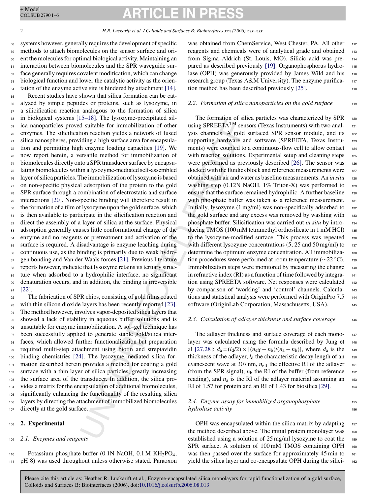# **ARTICLE IN PRESS**

2 *H.R. Luckarift et al. / Colloids and Surfaces B: Biointerfaces xxx (2006) xxx–xxx*

<sup>2</sup> and statistic and statistic statistic statistic and the communitor and statistic for immobilization of other using SPREETA<sup>TM</sup> set<br>information and statistic composition of other using SPREETA<sup>TM</sup> set<br>iding a high surf systems however, generally requires the development of specific methods to attach biomolecules on the sensor surface and ori- ent the molecules for optimal biological activity. Maintaining an <sup>61</sup> interaction between biomolecules and the SPR waveguide sur- face generally requires covalent modification, which can change biological function and lower the catalytic activity as the orientation of the enzyme active site is hindered by attachment [14]. Recent studies have shown that silica formation can be cat- alyzed by simple peptides or proteins, such as lysozyme, in a silicification reaction analogous to the formation of silica in biological systems [15–18]. The lysozyme-precipitated sil- ica nanoparticles proved suitable for immobilization of other enzymes. The silicification reaction yields a network of fused silica nanospheres, providing a high surface area for encapsula- tion and permitting high enzyme loading capacities [19]. We now report herein, a versatile method for immobilization of biomolecules directly onto a SPR transducer surface by encapsu- lating biomolecules within a lysozyme-mediated self-assembled layer of silica particles. The immobilization of lysozyme is based on non-specific physical adsorption of the protein to the gold SPR surface through a combination of electrostatic and surface interactions [20]. Non-specific binding will therefore result in the formation of a film of lysozyme upon the gold surface, which 81 is then available to participate in the silicification reaction and 82 direct the assembly of a layer of silica at the surface. Physical adsorption generally causes little conformational change of the enzyme and no reagents or pretreatment and activation of the surface is required. A disadvantage is enzyme leaching during continuous use, as the binding is primarily due to weak hydrogen bonding and Van der Waals forces [21]. Previous literature reports however, indicate that lysozyme retains its tertiary struc- ture when adsorbed to a hydrophilic interface, no significant denaturation occurs, and in addition, the binding is irreversible <sup>91</sup> [22].

 The fabrication of SPR chips, consisting of gold films coated with thin silicon dioxide layers has been recently reported [23]. The method however, involves vapor-deposited silica layers that showed a lack of stability in aqueous buffer solutions and is unsuitable for enzyme immobilization. A sol–gel technique has been successfully applied to generate stable gold/silica inter- faces, which allowed further functionalization but preparation required multi-step attachment using biotin and streptavidin binding chemistries [24]. The lysozyme-mediated silica for- mation described herein provides a method for coating a gold surface with a thin layer of silica particles, greatly increasing the surface area of the transducer. In addition, the silica pro- vides a matrix for the encapsulation of additional biomolecules, significantly enhancing the functionality of the resulting silica layers by directing the attachment of immobilized biomolecules directly at the gold surface.

#### <sup>108</sup> **2. Experimental**

### <sup>109</sup> *2.1. Enzymes and reagents*

110 Potassium phosphate buffer  $(0.1N$  NaOH,  $0.1 M$  KH<sub>2</sub>PO<sub>4</sub>, <sup>111</sup> pH 8) was used throughout unless otherwise stated. Paraoxon was obtained from ChemService, West Chester, PA, All other 112 reagents and chemicals were of analytical grade and obtained 113 from Sigma–Aldrich (St. Louis, MO). Silicic acid was pre- <sup>114</sup> pared as described previously [19]. Organophosphorus hydro- <sup>115</sup> lase (OPH) was generously provided by James Wild and his 116 research group (Texas A&M University). The enzyme purifica-<br>117 tion method has been described previously [25].

#### 2.2. Formation of silica nanoparticles on the gold surface 119

The formation of silica particles was characterized by SPR 120 using SPREETA<sup>TM</sup> sensors (Texas Instruments) with two analysis channels. A gold surfaced SPR sensor module, and its 122 supporting hardware and software (SPREETA, Texas Instru- 123 ments) were coupled to a continuous-flow cell to allow contact 124 with reaction solutions. Experimental setup and cleaning steps 125 were performed as previously described [26]. The sensor was 126 docked with the fluidics block and reference measurements were 127 obtained with air and water as baseline measurements. An *in situ* <sup>128</sup> washing step (0.12N NaOH,  $1\%$  Triton-X) was performed to 129 ensure that the surface remained hydrophilic. A further baseline 130 with phosphate buffer was taken as a reference measurement. 131 Initially, lysozyme  $(1 \text{ mg/ml})$  was non-specifically adsorbed to  $132$ the gold surface and any excess was removed by washing with 133 phosphate buffer. Silicification was carried out *in situ* by intro- <sup>134</sup> ducing TMOS (100 mM tetramethyl orthosilicate in 1 mM HCl) 135 to the lysozyme-modified surface. This process was repeated 136 with different lysozyme concentrations  $(5, 25 \text{ and } 50 \text{ mg/ml})$  to  $_{137}$ determine the optimum enzyme concentration. All immobiliza-<br>138 tion procedures were performed at room temperature ( $\sim$ 22 °C). 139 Immobilization steps were monitored by measuring the change 140 in refractive index  $(RI)$  as a function of time followed by integration using SPREETA software. Net responses were calculated 142 by comparison of 'working' and 'control' channels. Calcula- <sup>143</sup> tions and statistical analysis were performed with OriginPro 7.5 144 software (OriginLab Corporation, Massachusetts, USA). 145

#### *2.3. Calculation of adlayer thickness and surface coverage* <sup>146</sup>

The adlayer thickness and surface coverage of each mono-<br> $147$ layer was calculated using the formula described by Jung et 148 al [27,28];  $d_a = (l_d/2) \times [(n_{\text{eff}} - n_b)/(n_a - n_b)]$ , where  $d_a$  is the 149 thickness of the adlayer,  $l_d$  the characteristic decay length of an  $_{150}$ evanescent wave at 307 nm,  $n_{\text{eff}}$  the effective RI of the adlayer 151 (from the SPR signal),  $n<sub>b</sub>$  the RI of the buffer (from reference 152 reading), and  $n_a$  is the RI of the adlayer material assuming an  $153$ RI of 1.57 for protein and an RI of 1.43 for biosilica  $[29]$ .

### *2.4. Enzyme assay for immobilized organophosphate* <sup>155</sup> *hydrolase activity* 156

OPH was encapsulated within the silica matrix by adapting 157 the method described above. The initial protein monolayer was 158 established using a solution of 25 mg/ml lysozyme to coat the 159 SPR surface. A solution of 100 mM TMOS containing OPH 160 was then passed over the surface for approximately 45 min to 161 yield the silica layer and co-encapsulate OPH during the silici- <sup>162</sup>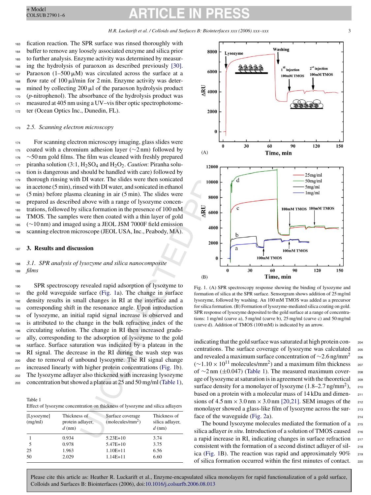fication reaction. The SPR surface was rinsed thoroughly with buffer to remove any loosely associated enzyme and silica prior to further analysis. Enzyme activity was determined by measur- ing the hydrolysis of paraoxon as described previously [30]. 167 Paraoxon (1-500  $\mu$ M) was circulated across the surface at a flow rate of  $100 \mu$ l/min for 2 min. Enzyme activity was deter- $_{169}$  mined by collecting 200  $\mu$ l of the paraoxon hydrolysis product (*p*-nitrophenol). The absorbance of the hydrolysis product was measured at 405 nm using a UV–vis fiber optic spectrophotome-ter (Ocean Optics Inc., Dunedin, FL).

#### <sup>173</sup> *2.5. Scanning electron microscopy*

 For scanning electron microscopy imaging, glass slides were 175 coated with a chromium adhesion layer ( $\sim$ 2 nm) followed by ∼50 nm gold films. The film was cleaned with freshly prepared 177 piranha solution  $(3:1, H_2SO_4)$  and  $H_2O_2$ . *Caution*: Piranha solu- tion is dangerous and should be handled with care) followed by thorough rinsing with DI water. The slides were then sonicated in acetone (5 min), rinsed with DI water, and sonicated in ethanol (5 min) before plasma cleaning in air (5 min). The slides were prepared as described above with a range of lysozyme concen- trations, followed by silica formation in the presence of 100 mM TMOS. The samples were then coated with a thin layer of gold (∼10 nm) and imaged using a JEOL JSM 7000F field emission scanning electron microscope (JEOL USA, Inc., Peabody, MA).

#### <sup>187</sup> **3. Results and discussion**

### <sup>188</sup> *3.1. SPR analysis of lysozyme and silica nanocomposite* <sup>189</sup> *films*

*m* microscopy<br>
um antesion layer ( $\sim$ 2 nm) followed by<br>
Lehe film was cleaned with first<br>
H<sub>2</sub>SO<sub>4</sub> and H<sub>2</sub>O<sub>2</sub>. *Cattion*: Pirrahla solution<br>
Blusted with care in solutions of the solution of the solution of the solut SPR spectroscopy revealed rapid adsorption of lysozyme to the gold waveguide surface (Fig. 1a). The change in surface density results in small changes in RI at the interface and a corresponding shift in the resonance angle. Upon introduction of lysozyme, an initial rapid signal increase is observed and is attributed to the change in the bulk refractive index of the circulating solution. The change in RI then increased gradu- ally, corresponding to the adsorption of lysozyme to the gold surface. Surface saturation was indicated by a plateau in the RI signal. The decrease in the RI during the wash step was due to removal of unbound lysozyme. The RI signal change increased linearly with higher protein concentrations (Fig. 1b). The lysozyme adlayer also thickened with increasing lysozyme concentration but showed a plateau at 25 and 50 mg/ml (Table 1),

Table 1

|--|

| [Lysozyme]<br>(mg/ml) | Thickness of<br>protein adlayer,<br>$d$ (nm) | Surface coverage<br>(molecules/mm <sup>2</sup> ) | Thickness of<br>silica adlayer,<br>$d$ (nm) |
|-----------------------|----------------------------------------------|--------------------------------------------------|---------------------------------------------|
|                       | 0.934                                        | $5.23E+10$                                       | 3.74                                        |
| -5                    | 0.978                                        | $5.47E+10$                                       | 3.75                                        |
| 25                    | 1.963                                        | $1.10E + 11$                                     | 6.56                                        |
| 50                    | 2.029                                        | $1.14E + 11$                                     | 6.60                                        |



Fig. 1. (A) SPR spectroscopy response showing the binding of lysozyme and formation of silica at the SPR surface. Sensorgram shows addition of 25 mg/ml lysozyme, followed by washing. An 100 mM TMOS was added as a precursor for silica formation. (B) Formation of lysozyme-mediated silica coating on gold. SPR response of lysozyme deposited to the gold surface at a range of concentrations: 1 mg/ml (curve a), 5 mg/ml (curve b), 25 mg/ml (curve c) and 50 mg/ml (curve d). Addition of TMOS (100 mM) is indicated by an arrow.

indicating that the gold surface was saturated at high protein con- <sup>204</sup> centrations. The surface coverage of lysozyme was calculated <sup>205</sup> and revealed a maximum surface concentration of ~2.6 ng/mm<sup>2</sup> <sub>206</sub>  $(-1.10 \times 10^{11} \text{ molecules/mm}^2)$  and a maximum film thickness <sub>207</sub>  $(\sim 1.10 \times 10^{11} \text{ molecules/mm}^2)$  and a maximum film thickness of ∼2 nm (±0.047) (Table 1). The measured maximum cover- <sup>208</sup> age of lysozyme at saturation is in agreement with the theoretical  $_{209}$ surface density for a monolayer of lysozyme  $(1.8-2.7 \text{ ng/mm}^2)$ , 210 based on a protein with a molecular mass of 14 kDa and dimen- <sup>211</sup> sions of  $4.5 \text{ nm} \times 3.0 \text{ nm} \times 3.0 \text{ nm}$  [20,21]. SEM images of the 212 monolayer showed a glass-like film of lysozyme across the surmonolayer showed a glass-like film of lysozyme across the surface of the waveguide (Fig. 2a). 214

The bound lysozyme molecules mediated the formation of a 215 silica adlayer *in situ*. Introduction of a solution of TMOS caused 216 a rapid increase in RI, indicating changes in surface refraction <sup>217</sup> consistent with the formation of a second distinct adlayer of sil- <sup>218</sup> ica (Fig. 1B). The reaction was rapid and approximately  $90\%$  219 of silica formation occurred within the first minutes of contact. <sup>220</sup>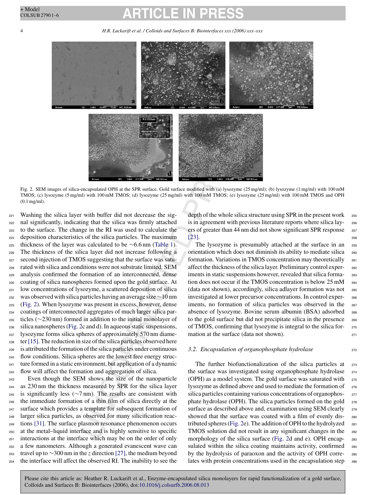## CLE

4 *H.R. Luckarift et al. / Colloids and Surfaces B: Biointerfaces xxx (2006) xxx–xxx*



Fig. 2. SEM images of silica-encapsulated OPH at the SPR surface. Gold surface modified with (a) lysozyme (25 mg/ml); (b) lysozyme (1 mg/ml) with 100 mM TMOS; (c) lysozyme (5 mg/ml) with 100 mM TMOS; (d) lysozyme (25 mg/ml) with 100 mM TMOS; (e) lysozyme (25 mg/ml) with 100 mM TMOS and OPH (0.1 mg/ml).

**Example 10**<br> **Example 10**<br> **Example 10**<br> **Example 10**<br> **Example 10**<br> **Example 10**<br> **Example 10**<br> **Example 10**<br> **Example 10**<br> **Example 10**<br> **Example 10**<br> **Example 10**<br> **Example 10**<br> **Example 10**<br> **Example 10**<br> **Example 10**  Washing the silica layer with buffer did not decrease the sig- nal significantly, indicating that the silica was firmly attached to the surface. The change in the RI was used to calculate the deposition characteristics of the silica particles. The maximum 225 thickness of the layer was calculated to be  $\sim$  6.6 nm (Table 1). The thickness of the silica layer did not increase following a second injection of TMOS suggesting that the surface was satu- rated with silica and conditions were not substrate limited. SEM analysis confirmed the formation of an interconnected, dense coating of silica nanospheres formed upon the gold surface. At low concentrations of lysozyme, a scattered deposition of silica was observed with silica particles having an average size∼10 nm (Fig. 2). When lysozyme was present in excess, however, dense coatings of interconnected aggregates of much larger silica par- ticles (∼230 nm) formed in addition to the initial monolayer of silica nanospheres (Fig. 2c and d). In aqueous static suspensions, lysozyme forms silica spheres of approximately 570 nm diame- ter [15]. The reduction in size of the silica particles observed here is attributed the formation of the silica particles under continuous flow conditions. Silica spheres are the lowest free energy struc- ture formed in a static environment, but application of a dynamic flow will affect the formation and aggregation of silica.

 Even though the SEM shows the size of the nanoparticle as 230 nm the thickness measured by SPR for the silica layer 245 is significantly less ( $\sim$ 7 nm). The results are consistent with the immediate formation of a thin film of silica directly at the surface which provides a template for subsequent formation of larger silica particles, as observed for many silicification reac- tions [31]. The surface plasmon resonance phenomenon occurs at the metal–liquid interface and is highly sensitive to specific interactions at the interface which may be on the order of only a few nanometers. Although a generated evanescent wave can travel up to ∼300 nm in the *z* direction [27], the medium beyond the interface will affect the observed RI. The inability to see the depth of the whole silica structure using SPR in the present work 255 is in agreement with previous literature reports where silica lay- <sup>256</sup> ers of greater than 44 nm did not show significant SPR response 257  $[23]$ .

The lysozyme is presumably attached at the surface in an 259 orientation which does not diminish its ability to mediate silica <sup>260</sup> formation. Variations in TMOS concentration may theoretically <sup>261</sup> affect the thickness of the silica layer. Preliminary control exper- <sup>262</sup> iments in static suspensions however, revealed that silica forma-<br><sub>263</sub> tion does not occur if the TMOS concentration is below  $25 \text{ mM}$   $_{264}$ (data not shown), accordingly, silica adlayer formation was not <sup>265</sup> investigated at lower precursor concentrations. In control exper- <sup>266</sup> iments, no formation of silica particles was observed in the 267 absence of lysozyme. Bovine serum albumin (BSA) adsorbed <sup>268</sup> to the gold surface but did not precipitate silica in the presence 269 of TMOS, confirming that lysozyme is integral to the silica for- <sup>270</sup> mation at the surface (data not shown).

#### *3.2. Encapsulation of organophosphate hydrolase* 272

The further biofunctionalization of the silica particles at 273 the surface was investigated using organophosphate hydrolase 274 (OPH) as a model system. The gold surface was saturated with <sup>275</sup> lysozyme as defined above and used to mediate the formation of <sup>276</sup> silica particles containing various concentrations of organophos- <sup>277</sup> phate hydrolase (OPH). The silica particles formed on the gold 278 surface as described above and, examination using SEM clearly 279 showed that the surface was coated with a film of evenly dis- <sup>280</sup> tributed spheres (Fig. 2e). The addition of OPH to the hydrolyzed  $_{281}$ TMOS solution did not result in any significant changes in the 282 morphology of the silica surface (Fig. 2d and e). OPH encapsulated within the silica coating maintains activity, confirmed 284 by the hydrolysis of paraoxon and the activity of OPH corre- <sup>285</sup> lates with protein concentrations used in the encapsulation step 286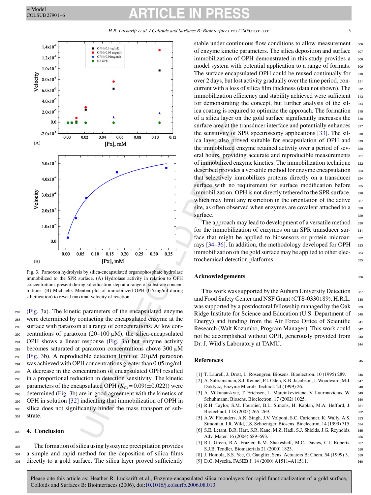*H.R. Luckarift et al. / Colloids and Surfaces B: Biointerfaces xxx (2006) xxx–xxx* 5



Fig. 3. Paraoxon hydrolysis by silica-encapsulated organophosphate hydrolase immobilized to the SPR surface. (A) Hydrolase activity in relation to OPH concentrations present during silicification step at a range of substrate concentrations. (B) Michaelis–Menten plot of immobilized OPH (0.5 mg/ml during silicification) to reveal maximal velocity of reaction.

 (Fig. 3a). The kinetic parameters of the encapsulated enzyme were determined by contacting the encapsulated enzyme at the surface with paraoxon at a range of concentrations. At low con-290 centrations of paraoxon (20–100  $\mu$ M), the silica-encapsulated OPH shows a linear response (Fig. 3a) but enzyme activity becomes saturated at paraoxon concentrations above 300  $\mu$ M 293 (Fig. 3b). A reproducible detection limit of  $20 \mu M$  paraoxon was achieved with OPH concentrations greater than 0.05 mg/ml. A decrease in the concentration of encapsulated OPH resulted in a proportional reduction in detection sensitivity. The kinetic <sup>297</sup> parameters of the encapsulated OPH  $(K_m = 0.09(\pm 0.022))$  were determined (Fig. 3b) are in good agreement with the kinetics of OPH in solution [32] indicating that immobilization of OPH in silica does not significantly hinder the mass transport of sub-<sup>301</sup> strate.

#### <sup>302</sup> **4. Conclusion**

<sup>303</sup> The formation of silica using lysozyme precipitation provides <sup>304</sup> a simple and rapid method for the deposition of silica films <sup>305</sup> directly to a gold surface. The silica layer proved sufficiently

stable under continuous flow conditions to allow measurement <sub>306</sub> of enzyme kinetic parameters. The silica deposition and surface 307 immobilization of OPH demonstrated in this study provides a 308 model system with potential application to a range of formats. 309 The surface encapsulated OPH could be reused continually for 310 over 2 days, but lost activity gradually over the time period, con- <sup>311</sup> current with a loss of silica film thickness (data not shown). The  $_{312}$ immobilization efficiency and stability achieved were sufficient 313 for demonstrating the concept, but further analysis of the sil- <sup>314</sup> ica coating is required to optimize the approach. The formation 315 of a silica layer on the gold surface significantly increases the <sup>316</sup> surface area at the transducer interface and potentially enhances 317 the sensitivity of SPR spectroscopy applications [33]. The sil- <sup>318</sup> ica layer also proved suitable for encapsulation of OPH and <sup>319</sup> the immobilized enzyme retained activity over a period of sev- <sup>320</sup> eral hours, providing accurate and reproducible measurements 321 of immobilized enzyme kinetics. The immobilization technique 322 described provides a versatile method for enzyme encapsulation 323 that selectively immobilizes proteins directly on a transducer 324 surface with no requirement for surface modification before 325 immobilization. OPH is not directly tethered to the SPR surface, 326 which may limit any restriction in the orientation of the active 327 site, as often observed when enzymes are covalent attached to a 328  $\text{surface.}$   $\blacksquare$ 

The approach may lead to development of a versatile method 330 for the immobilization of enzymes on an SPR transducer sur- <sup>331</sup> face that might be applied to biosensors or protein microar- 332 rays [34–36]. In addition, the methodology developed for OPH 333 immobilization on the gold surface may be applied to other elec-<br><sub>334</sub> trochemical detection platforms. 335

#### **Acknowledgements** 336

This work was supported by the Auburn University Detection 337 and Food Safety Center and NSF Grant (CTS-0330189). H.R.L. 338 was supported by a postdoctoral fellowship managed by the Oak 339 Ridge Institute for Science and Education (U.S. Department of 340 Energy) and funding from the Air Force Office of Scientific 341 Research (Walt Kozumbo, Program Manager). This work could 342 not be accomplished without OPH, generously provided from 343 Dr. J. Wild's Laboratory at TAMU.

#### **References** 345

- [1] T. Laurell, J. Drott, L. Rosengren, Biosens. Bioelectron. 10 (1995) 289. <sup>346</sup>
- [2] A. Subramanian, S.J. Kennel, P.I. Oden, K.B. Jacobson, J. Woodward, M.J. <sup>347</sup> Doktycz, Enzyme Microb. Technol. 24 (1999) 26. <sup>348</sup>
- [3] A. Vilkanauskyte, T. Erichsen, L. Marcinkeviciene, V. Laurinavicius, W. <sup>349</sup> Schuhmann, Biosens. Bioelectron. 17 (2002) 1025. 350
- [4] R.H. Taylor, S.M. Fournier, B.L. Simons, H. Kaplan, M.A. Hefford, J. 351 Biotechnol. 118 (2005) 265–269. 352
- [5] A.W. Flounders, A.K. Singh, J.V. Volponi, S.C. Carichner, K. Wally, A.S. 353 Simonian, J.R. Wild, J.S. Schoeniger, Biosens. Bioelectron. 14 (1999) 715. <sup>354</sup>
- [6] S.E. Letant, B.R. Hart, S.R. Kane, M.Z. Hadi, S.J. Shields, J.G. Reynolds, <sup>355</sup> Adv. Mater. 16 (2004) 689–693. 356
- [7] R.J. Green, R.A. Frazier, K.M. Shakesheff, M.C. Davies, C.J. Roberts, <sup>357</sup> S.J.B. Tendler, Biomaterials 21 (2000) 1823. <sup>358</sup>
- [8] J. Homola, S.S. Yee, G. Gauglitz, Sens. Actuators B: Chem. 54 (1999) 3. <sup>359</sup>
- [9] D.G. Myszka, FASEB J. 14 (2000) A1511–A11511. <sup>360</sup>